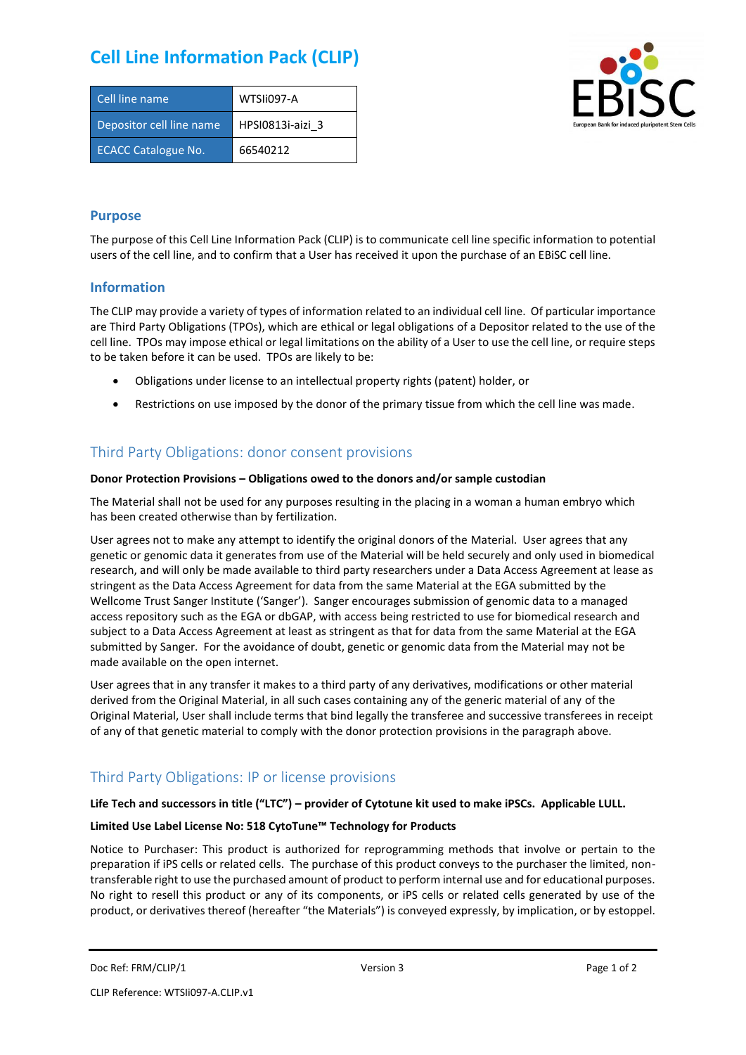# **Cell Line Information Pack (CLIP)**

| Cell line name             | WTSIi097-A       |
|----------------------------|------------------|
| Depositor cell line name   | HPSI0813i-aizi 3 |
| <b>ECACC Catalogue No.</b> | 66540212         |



### **Purpose**

The purpose of this Cell Line Information Pack (CLIP) is to communicate cell line specific information to potential users of the cell line, and to confirm that a User has received it upon the purchase of an EBiSC cell line.

### **Information**

The CLIP may provide a variety of types of information related to an individual cell line. Of particular importance are Third Party Obligations (TPOs), which are ethical or legal obligations of a Depositor related to the use of the cell line. TPOs may impose ethical or legal limitations on the ability of a User to use the cell line, or require steps to be taken before it can be used. TPOs are likely to be:

- Obligations under license to an intellectual property rights (patent) holder, or
- Restrictions on use imposed by the donor of the primary tissue from which the cell line was made.

## Third Party Obligations: donor consent provisions

#### **Donor Protection Provisions – Obligations owed to the donors and/or sample custodian**

The Material shall not be used for any purposes resulting in the placing in a woman a human embryo which has been created otherwise than by fertilization.

User agrees not to make any attempt to identify the original donors of the Material. User agrees that any genetic or genomic data it generates from use of the Material will be held securely and only used in biomedical research, and will only be made available to third party researchers under a Data Access Agreement at lease as stringent as the Data Access Agreement for data from the same Material at the EGA submitted by the Wellcome Trust Sanger Institute ('Sanger'). Sanger encourages submission of genomic data to a managed access repository such as the EGA or dbGAP, with access being restricted to use for biomedical research and subject to a Data Access Agreement at least as stringent as that for data from the same Material at the EGA submitted by Sanger. For the avoidance of doubt, genetic or genomic data from the Material may not be made available on the open internet.

User agrees that in any transfer it makes to a third party of any derivatives, modifications or other material derived from the Original Material, in all such cases containing any of the generic material of any of the Original Material, User shall include terms that bind legally the transferee and successive transferees in receipt of any of that genetic material to comply with the donor protection provisions in the paragraph above.

# Third Party Obligations: IP or license provisions

#### **Life Tech and successors in title ("LTC") – provider of Cytotune kit used to make iPSCs. Applicable LULL.**

### **Limited Use Label License No: 518 CytoTune™ Technology for Products**

Notice to Purchaser: This product is authorized for reprogramming methods that involve or pertain to the preparation if iPS cells or related cells. The purchase of this product conveys to the purchaser the limited, nontransferable right to use the purchased amount of product to perform internal use and for educational purposes. No right to resell this product or any of its components, or iPS cells or related cells generated by use of the product, or derivatives thereof (hereafter "the Materials") is conveyed expressly, by implication, or by estoppel.

```
Doc Ref: FRM/CLIP/1 Docessity Version 3 Page 1 of 2 Page 1 of 2
```